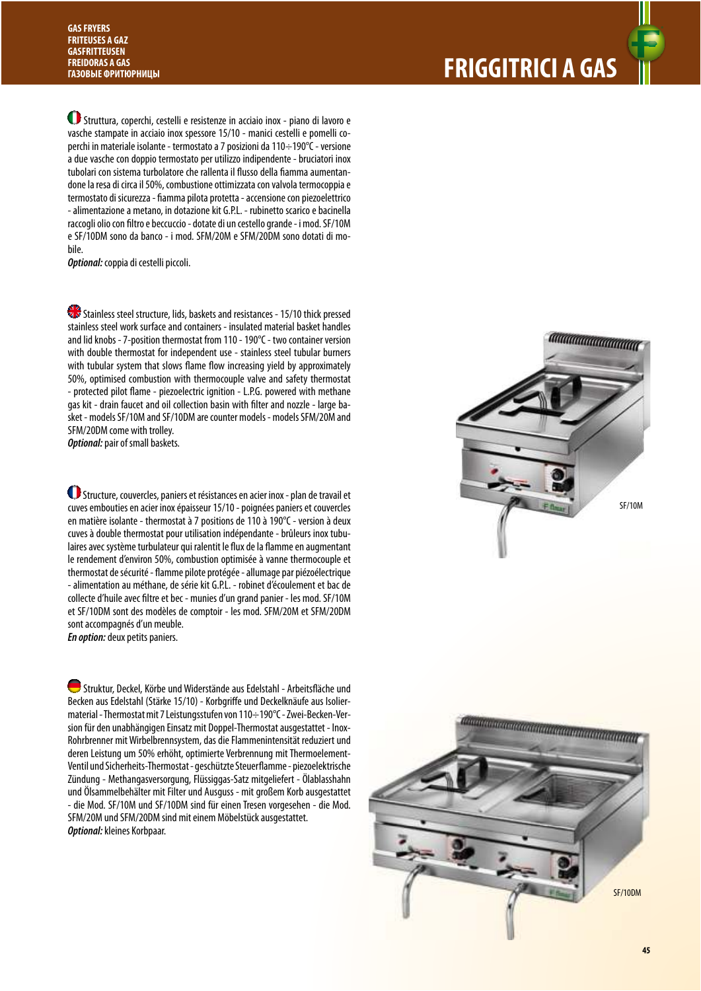**FRIGGITRICI A GAS** 

 Struttura, coperchi, cestelli e resistenze in acciaio inox - piano di lavoro e vasche stampate in acciaio inox spessore 15/10 - manici cestelli e pomelli coperchi in materiale isolante - termostato a 7 posizioni da 110÷190°C - versione a due vasche con doppio termostato per utilizzo indipendente - bruciatori inox tubolari con sistema turbolatore che rallenta il flusso della fiamma aumentandone la resa di circa il 50%, combustione ottimizzata con valvola termocoppia e termostato di sicurezza - fiamma pilota protetta - accensione con piezoelettrico - alimentazione a metano, in dotazione kit G.P.L. - rubinetto scarico e bacinella raccogli olio con filtro e beccuccio - dotate di un cestello grande - i mod. SF/10M e SF/10DM sono da banco - i mod. SFM/20M e SFM/20DM sono dotati di mobile.

**Optional:** coppia di cestelli piccoli.

Stainless steel structure, lids, baskets and resistances - 15/10 thick pressed stainless steel work surface and containers - insulated material basket handles and lid knobs - 7-position thermostat from 110 - 190°C - two container version with double thermostat for independent use - stainless steel tubular burners with tubular system that slows flame flow increasing yield by approximately 50%, optimised combustion with thermocouple valve and safety thermostat - protected pilot flame - piezoelectric ignition - L.P.G. powered with methane gas kit - drain faucet and oil collection basin with filter and nozzle - large basket - models SF/10M and SF/10DM are counter models - models SFM/20M and SFM/20DM come with trolley.

**Optional:** pair of small baskets.

 Structure, couvercles, paniers et résistances en acier inox - plan de travail et cuves embouties en acier inox épaisseur 15/10 - poignées paniers et couvercles en matière isolante - thermostat à 7 positions de 110 à 190°C - version à deux cuves à double thermostat pour utilisation indépendante - brûleurs inox tubulaires avec système turbulateur qui ralentit le flux de la flamme en augmentant le rendement d'environ 50%, combustion optimisée à vanne thermocouple et thermostat de sécurité - flamme pilote protégée - allumage par piézoélectrique - alimentation au méthane, de série kit G.P.L. - robinet d'écoulement et bac de collecte d'huile avec %ltre et bec - munies d'un grand panier - les mod. SF/10M et SF/10DM sont des modèles de comptoir - les mod. SFM/20M et SFM/20DM sont accompagnés d'un meuble. **En option:** deux petits paniers.

Struktur, Deckel, Körbe und Widerstände aus Edelstahl - Arbeitsfläche und Becken aus Edelstahl (Stärke 15/10) - Korbgriffe und Deckelknäufe aus Isoliermaterial - Thermostat mit 7 Leistungsstufen von 110÷190°C - Zwei-Becken-Version für den unabhängigen Einsatz mit Doppel-Thermostat ausgestattet - Inox-Rohrbrenner mit Wirbelbrennsystem, das die Flammenintensität reduziert und deren Leistung um 50% erhöht, optimierte Verbrennung mit Thermoelement-Ventil und Sicherheits-Thermostat - geschützte Steuerflamme - piezoelektrische Zündung - Methangasversorgung, Flüssiggas-Satz mitgeliefert - Ölablasshahn und Ölsammelbehälter mit Filter und Ausguss - mit großem Korb ausgestattet - die Mod. SF/10M und SF/10DM sind für einen Tresen vorgesehen - die Mod. SFM/20M und SFM/20DM sind mit einem Möbelstück ausgestattet. **Optional:** kleines Korbpaar.



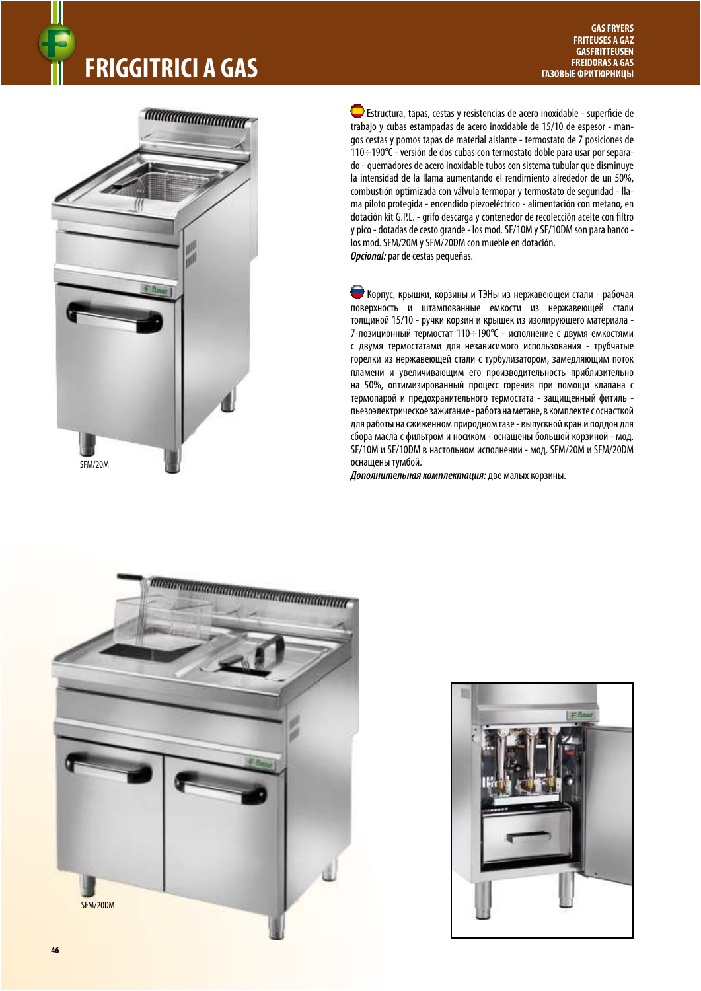## **FRIGGITRICI A GAS FRIGGITRICI A GAS FREIDORAS A GAS**



 Estructura, tapas, cestas y resistencias de acero inoxidable - super%cie de trabajo y cubas estampadas de acero inoxidable de 15/10 de espesor - mangos cestas y pomos tapas de material aislante - termostato de 7 posiciones de 110÷190°C - versión de dos cubas con termostato doble para usar por separado - quemadores de acero inoxidable tubos con sistema tubular que disminuye la intensidad de la llama aumentando el rendimiento alrededor de un 50%, combustión optimizada con válvula termopar y termostato de seguridad - llama piloto protegida - encendido piezoeléctrico - alimentación con metano, en dotación kit G.P.L. - grifo descarga y contenedor de recolección aceite con filtro y pico - dotadas de cesto grande - los mod. SF/10M y SF/10DM son para banco los mod. SFM/20M y SFM/20DM con mueble en dotación. **Opcional:** par de cestas pequeñas.

 Корпус, крышки, корзины и ТЭНы из нержавеющей стали - рабочая поверхность и штампованные емкости из нержавеющей стали толщиной 15/10 - ручки корзин и крышек из изолирующего материала - 7-позиционный термостат 110÷190°C - исполнение с двумя емкостями с двумя термостатами для независимого использования - трубчатые горелки из нержавеющей стали с турбулизатором, замедляющим поток пламени и увеличивающим его производительность приблизительно на 50%, оптимизированный процесс горения при помощи клапана с термопарой и предохранительного термостата - защищенный фитиль пьезоэлектрическое зажигание - работа на метане, в комплекте с оснасткой для работы на сжиженном природном газе - выпускной кран и поддон для сбора масла с фильтром и носиком - оснащены большой корзиной - мод. SF/10M и SF/10DM в настольном исполнении - мод. SFM/20M и SFM/20DM оснащены тумбой.

**Дополнительная комплектация:** две малых корзины.



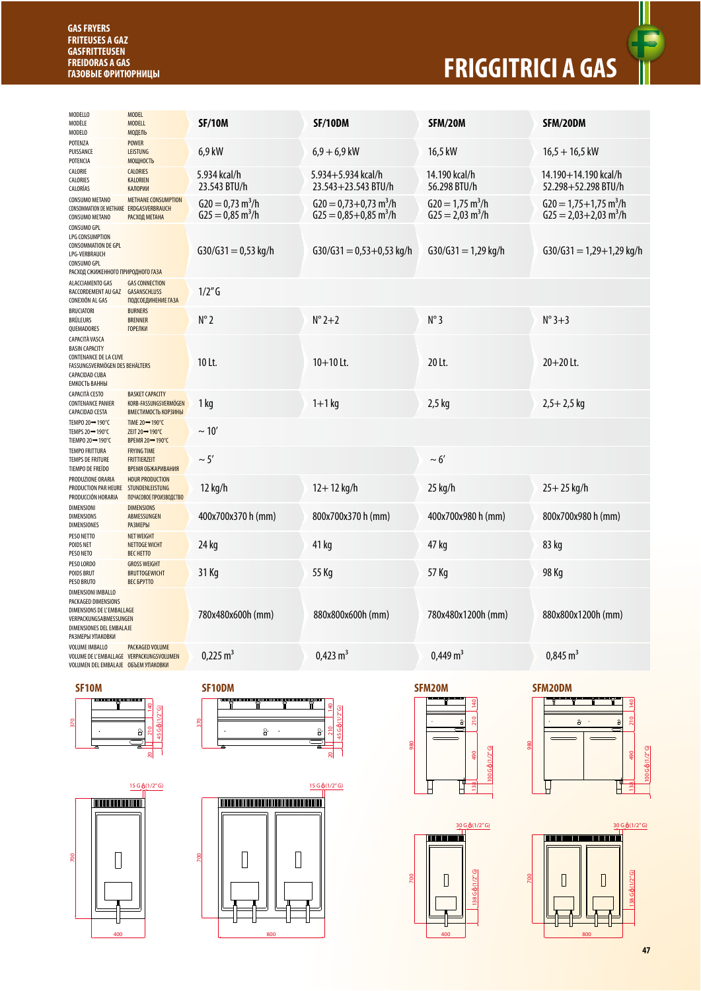## **GAS FRYERS** ® **FRITEUSES A GAZ GASFRITTEUSEN FREIDORAS A GAS**

## **ГАЗОВЫЕ ФРИТЮРНИЦЫ FRIGGITRICI A GAS**



| SFM/20DM<br>$16,5 + 16,5$ kW<br>14.190+14.190 kcal/h<br>52.298+52.298 BTU/h<br>$620 = 1,75 + 1,75$ m <sup>3</sup> /h |
|----------------------------------------------------------------------------------------------------------------------|
|                                                                                                                      |
|                                                                                                                      |
|                                                                                                                      |
| $G25 = 2,03+2,03$ m <sup>3</sup> /h                                                                                  |
| $G30/G31 = 1,29+1,29$ kg/h                                                                                           |
|                                                                                                                      |
| $N^{\circ}3+3$                                                                                                       |
| $20 + 20$ Lt.                                                                                                        |
| $2,5+2,5$ kg                                                                                                         |
|                                                                                                                      |
|                                                                                                                      |
| $25 + 25$ kg/h                                                                                                       |
| 800x700x980 h (mm)                                                                                                   |
| 83 kg                                                                                                                |
| 98 Kg                                                                                                                |
| 880x800x1200h (mm)                                                                                                   |
| $0.845 \text{ m}^3$                                                                                                  |
|                                                                                                                      |

700





*<u>TIMOTHIMINI TIMOTHIMI</u>* 

 $\sqrt{ }$ 

 $15 G (1/2" G)$ 

700



15 G (1/2" G)  $\begin{bmatrix} \phantom{-} \end{bmatrix}$  $\begin{bmatrix} \phantom{-} \end{bmatrix}$ 



 $\begin{bmatrix} \phantom{-} \end{bmatrix}$ 

700

138 G (1/2" G)





**47**